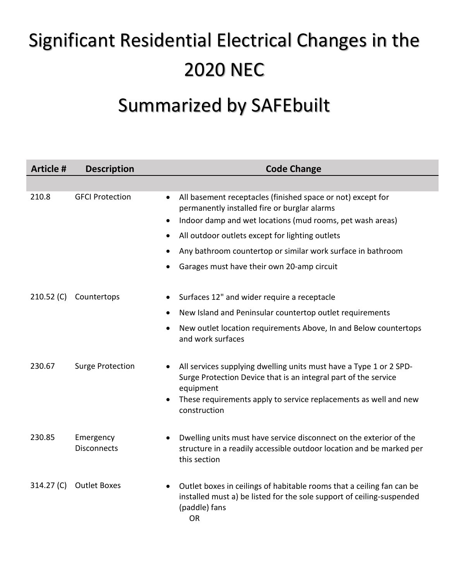## Significant Residential Electrical Changes in the 2020 NEC

## Summarized by SAFEbuilt

| <b>Article #</b> | <b>Description</b>                   | <b>Code Change</b>                                                                                                                                                           |
|------------------|--------------------------------------|------------------------------------------------------------------------------------------------------------------------------------------------------------------------------|
|                  |                                      |                                                                                                                                                                              |
| 210.8            | <b>GFCI Protection</b><br>$\bullet$  | All basement receptacles (finished space or not) except for<br>permanently installed fire or burglar alarms<br>Indoor damp and wet locations (mud rooms, pet wash areas)     |
|                  | $\bullet$                            | All outdoor outlets except for lighting outlets                                                                                                                              |
|                  |                                      | Any bathroom countertop or similar work surface in bathroom                                                                                                                  |
|                  |                                      | Garages must have their own 20-amp circuit                                                                                                                                   |
| 210.52 (C)       | Countertops<br>$\bullet$             | Surfaces 12" and wider require a receptacle                                                                                                                                  |
|                  | $\bullet$<br>$\bullet$               | New Island and Peninsular countertop outlet requirements                                                                                                                     |
|                  |                                      | New outlet location requirements Above, In and Below countertops<br>and work surfaces                                                                                        |
| 230.67           | <b>Surge Protection</b><br>$\bullet$ | All services supplying dwelling units must have a Type 1 or 2 SPD-<br>Surge Protection Device that is an integral part of the service<br>equipment                           |
|                  |                                      | These requirements apply to service replacements as well and new<br>construction                                                                                             |
| 230.85           | Emergency<br><b>Disconnects</b>      | Dwelling units must have service disconnect on the exterior of the<br>structure in a readily accessible outdoor location and be marked per<br>this section                   |
| 314.27 (C)       | <b>Outlet Boxes</b>                  | Outlet boxes in ceilings of habitable rooms that a ceiling fan can be<br>installed must a) be listed for the sole support of ceiling-suspended<br>(paddle) fans<br><b>OR</b> |